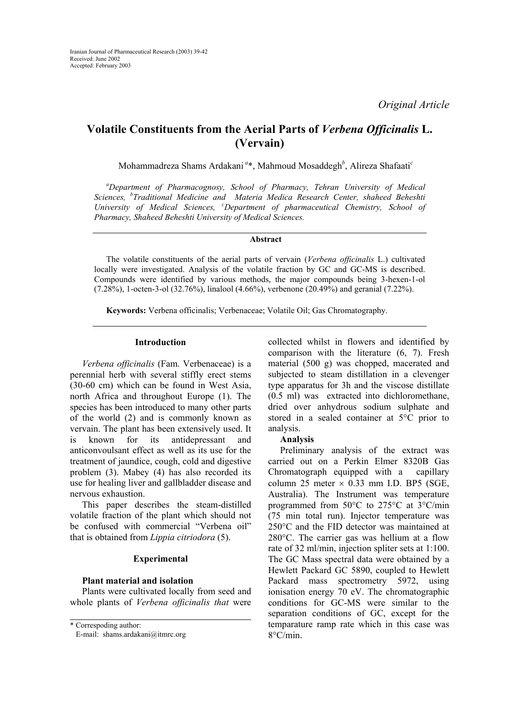# **Volatile Constituents from the Aerial Parts of** *Verbena Officinalis* **L. (Vervain)**

Mohammadreza Shams Ardakani*<sup>a</sup>*\*, Mahmoud Mosaddegh*<sup>b</sup>* , Alireza Shafaati*<sup>c</sup>*

*a Department of Pharmacognosy, School of Pharmacy, Tehran University of Medical Sciences, <sup>b</sup> Traditional Medicine and Materia Medica Research Center, shaheed Beheshti University of Medical Sciences, <sup>c</sup> Department of pharmaceutical Chemistry, School of Pharmacy, Shaheed Beheshti University of Medical Sciences.* 

## **Abstract**

The volatile constituents of the aerial parts of vervain (*Verbena officinalis* L.) cultivated locally were investigated. Analysis of the volatile fraction by GC and GC-MS is described. Compounds were identified by various methods, the major compounds being 3-hexen-1-ol (7.28%), 1-octen-3-ol (32.76%), linalool (4.66%), verbenone (20.49%) and geranial (7.22%).

**Keywords:** Verbena officinalis; Verbenaceae; Volatile Oil; Gas Chromatography.

### **Introduction**

*Verbena officinalis* (Fam. Verbenaceae) is a perennial herb with several stiffly erect stems (30-60 cm) which can be found in West Asia, north Africa and throughout Europe (1). The species has been introduced to many other parts of the world (2) and is commonly known as vervain. The plant has been extensively used. It is known for its antidepressant and anticonvoulsant effect as well as its use for the treatment of jaundice, cough, cold and digestive problem (3). Mabey (4) has also recorded its use for healing liver and gallbladder disease and nervous exhaustion.

This paper describes the steam-distilled volatile fraction of the plant which should not be confused with commercial "Verbena oil" that is obtained from *Lippia citriodora* (5).

## **Experimental**

## **Plant material and isolation**

Plants were cultivated locally from seed and whole plants of *Verbena officinalis that* were

\* Correspoding author:

collected whilst in flowers and identified by comparison with the literature (6, 7). Fresh material (500 g) was chopped, macerated and subjected to steam distillation in a clevenger type apparatus for 3h and the viscose distillate (0.5 ml) was extracted into dichloromethane, dried over anhydrous sodium sulphate and stored in a sealed container at 5°C prior to analysis.

#### **Analysis**

Preliminary analysis of the extract was carried out on a Perkin Elmer 8320B Gas Chromatograph equipped with a capillary column 25 meter  $\times$  0.33 mm I.D. BP5 (SGE, Australia). The Instrument was temperature programmed from 50°C to 275°C at 3°C/min (75 min total run). Injector temperature was 250°C and the FID detector was maintained at 280°C. The carrier gas was hellium at a flow rate of 32 ml/min, injection spliter sets at 1:100. The GC Mass spectral data were obtained by a Hewlett Packard GC 5890, coupled to Hewlett Packard mass spectrometry 5972, using ionisation energy 70 eV. The chromatographic conditions for GC-MS were similar to the separation conditions of GC, except for the temparature ramp rate which in this case was 8°C/min.

E-mail: shams.ardakani@itmrc.org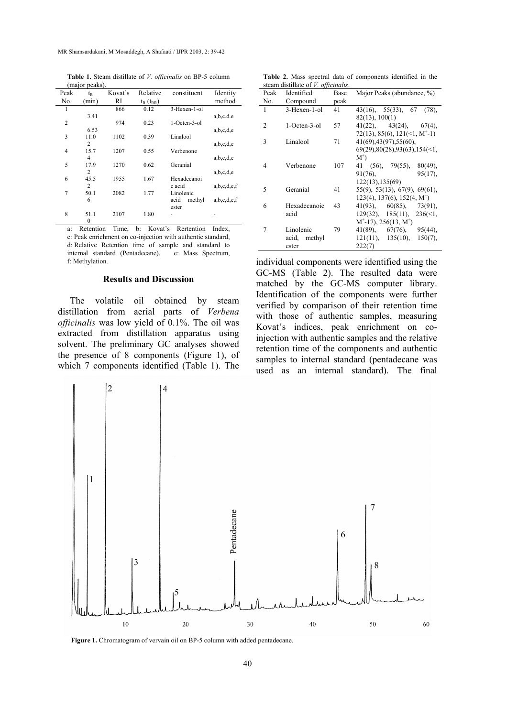**Table 1.** Steam distillate of *V. officinalis* on BP-5 column (major peaks).

| Peak | $t_{R}$        | Kovat's | Relative           | constituent    | Identity    |
|------|----------------|---------|--------------------|----------------|-------------|
| No.  | (min)          | RI      | $t_{R}$ $(t_{RR})$ |                | method      |
| 1    |                | 866     | 0.12               | 3-Hexen-1-ol   |             |
|      | 3.41           |         |                    |                | a,b,c.d.e   |
| 2    |                | 974     | 0.23               | 1-Octen-3-ol   |             |
|      | 6.53           |         |                    |                | a,b,c,d,e   |
| 3    | 11.0           | 1102    | 0.39               | Linalool       |             |
|      | 2              |         |                    |                | a,b,c,d,e   |
| 4    | 15.7           | 1207    | 0.55               | Verbenone      |             |
|      | $\overline{4}$ |         |                    |                | a,b,c,d,e   |
| 5    | 17.9           | 1270    | 0.62               | Geranial       |             |
|      | 2              |         |                    |                | a,b,c,d,e   |
| 6    | 45.5           | 1955    | 1.67               | Hexadecanoi    |             |
|      | $\overline{2}$ |         |                    | c acid         | a,b,c,d,e,f |
| 7    | 50.1           | 2082    | 1.77               | Linolenic      |             |
|      | 6              |         |                    | acid<br>methyl | a,b,c,d,e,f |
|      |                |         |                    | ester          |             |
| 8    | 51.1           | 2107    | 1.80               |                |             |
|      | $\mathbf{0}$   |         |                    |                |             |

Retention Time, b: Kovat's Rertention Index, c: Peak enrichment on co-injection with authentic standard, d: Relative Retention time of sample and standard to internal standard (Pentadecane), e: Mass Spectrum, f: Methylation.

#### **Results and Discussion**

The volatile oil obtained by steam distillation from aerial parts of *Verbena officinalis* was low yield of 0.1%. The oil was extracted from distillation apparatus using solvent. The preliminary GC analyses showed the presence of 8 components (Figure 1), of which 7 components identified (Table 1). The

**Table 2.** Mass spectral data of components identified in the steam distillate of *V. officinalis*.

| Peak | Identified   | Base | Major Peaks (abundance, %)                      |
|------|--------------|------|-------------------------------------------------|
| No.  | Compound     | peak |                                                 |
| 1    | 3-Hexen-1-ol | 41   | $43(16)$ , $55(33)$ , 67<br>$(78)$ ,            |
|      |              |      | 82(13), 100(1)                                  |
| 2    | 1-Octen-3-ol | 57   | $41(22)$ , $43(24)$ , $67(4)$ ,                 |
|      |              |      | 72(13), 85(6), 121(<1, M <sup>+</sup> -1)       |
| 3    | Linalool     | 71   | 41(69), 43(97), 55(60),                         |
|      |              |      | $69(29)$ , $80(28)$ , $93(63)$ , $154(\leq 1$ , |
|      |              |      | $M^+$                                           |
| 4    | Verbenone    | 107  | 41 (56), 79(55),<br>$80(49)$ ,                  |
|      |              |      | $95(17)$ ,<br>91(76),                           |
|      |              |      | 122(13), 135(69)                                |
| 5    | Geranial     | 41   | 55(9), 53(13), 67(9), 69(61),                   |
|      |              |      | $123(4)$ , $137(6)$ , $152(4, M^+)$             |
| 6    | Hexadecanoic | 43   | $41(93)$ , $60(85)$ , $73(91)$ ,                |
|      | acid         |      | $129(32)$ , $185(11)$ , $236(\le)$ ,            |
|      |              |      | $M^+$ -17), 256(13, M <sup>+</sup> )            |
| 7    | Linolenic    | 79   | $41(89)$ , $67(76)$ , $95(44)$ ,                |
|      | acid, methyl |      | 121(11), 135(10),<br>$150(7)$ ,                 |
|      | ester        |      | 222(7)                                          |

individual components were identified using the GC-MS (Table 2). The resulted data were matched by the GC-MS computer library. Identification of the components were further verified by comparison of their retention time with those of authentic samples, measuring Kovat's indices, peak enrichment on coinjection with authentic samples and the relative retention time of the components and authentic samples to internal standard (pentadecane was used as an internal standard). The final



Figure 1. Chromatogram of vervain oil on BP-5 column with added pentadecane.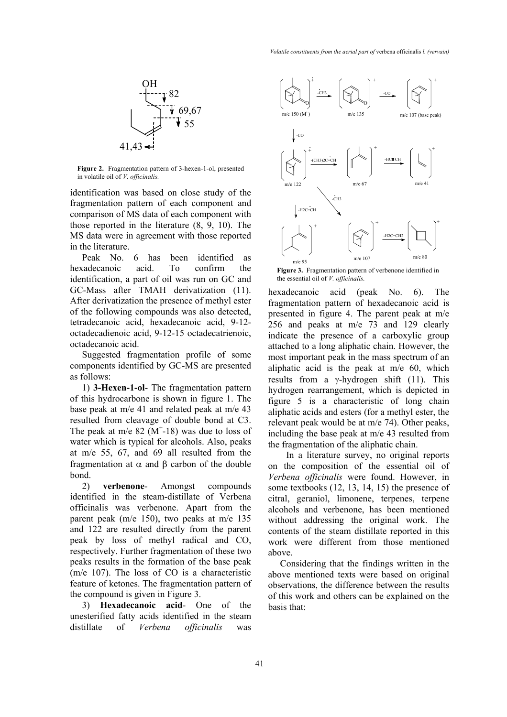

**Figure 2.** Fragmentation pattern of 3-hexen-1-ol, presented in volatile oil of *V. officinalis.*

identification was based on close study of the fragmentation pattern of each component and comparison of MS data of each component with those reported in the literature (8, 9, 10). The MS data were in agreement with those reported in the literature.

Peak No. 6 has been identified as hexadecanoic acid. To confirm the identification, a part of oil was run on GC and GC-Mass after TMAH derivatization (11). After derivatization the presence of methyl ester of the following compounds was also detected, tetradecanoic acid, hexadecanoic acid, 9-12 octadecadienoic acid, 9-12-15 octadecatrienoic, octadecanoic acid.

Suggested fragmentation profile of some components identified by GC-MS are presented as follows:

1) **3-Hexen-1-ol**- The fragmentation pattern of this hydrocarbone is shown in figure 1. The base peak at m/e 41 and related peak at m/e 43 resulted from cleavage of double bond at C3. The peak at m/e  $82 \ (M^+$ -18) was due to loss of water which is typical for alcohols. Also, peaks at m/e 55, 67, and 69 all resulted from the fragmentation at α and β carbon of the double bond.

2) **verbenone**- Amongst compounds identified in the steam-distillate of Verbena officinalis was verbenone. Apart from the parent peak (m/e 150), two peaks at m/e 135 and 122 are resulted directly from the parent peak by loss of methyl radical and CO, respectively. Further fragmentation of these two peaks results in the formation of the base peak (m/e 107). The loss of CO is a characteristic feature of ketones. The fragmentation pattern of the compound is given in Figure 3.

3) **Hexadecanoic acid**- One of the unesterified fatty acids identified in the steam distillate of *Verbena officinalis* was



the essential oil of *V. officinalis.*

hexadecanoic acid (peak No. 6). The fragmentation pattern of hexadecanoic acid is presented in figure 4. The parent peak at m/e 256 and peaks at m/e 73 and 129 clearly indicate the presence of a carboxylic group attached to a long aliphatic chain. However, the most important peak in the mass spectrum of an aliphatic acid is the peak at m/e 60, which results from a γ-hydrogen shift  $(11)$ . This hydrogen rearrangement, which is depicted in figure 5 is a characteristic of long chain aliphatic acids and esters (for a methyl ester, the relevant peak would be at m/e 74). Other peaks, including the base peak at m/e 43 resulted from the fragmentation of the aliphatic chain.

 In a literature survey, no original reports on the composition of the essential oil of *Verbena officinalis* were found. However, in some textbooks (12, 13, 14, 15) the presence of citral, geraniol, limonene, terpenes, terpene alcohols and verbenone, has been mentioned without addressing the original work. The contents of the steam distillate reported in this work were different from those mentioned above.

Considering that the findings written in the above mentioned texts were based on original observations, the difference between the results of this work and others can be explained on the basis that: